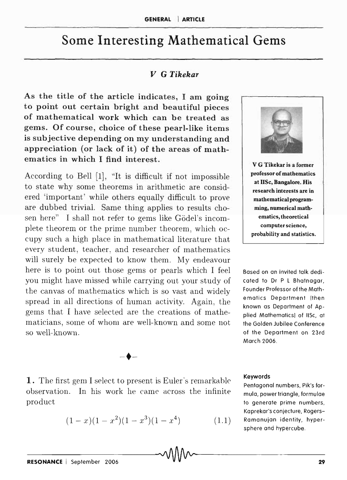## **Some Interesting Mathematical Gems**

## *V* G *Tikekar*

As the title of the article indicates, I am going to point out certain bright and beautiful pieces of mathematical work which can be treated as gems. Of course, choice of these pearl-like items is subjective depending on my understanding and appreciation (or lack of it) of the areas of mathematics in which I find interest.

According to Bell  $[1]$ , "It is difficult if not impossible to state why some theorems in arithmetic are considered 'important' while others equally difficult to prove are dubbed trivial. Same thing applies to results chosen here" I shall not refer to gems like Gödel's incomplete theorem or the prime number theorem, which occupy such a high place in mathematical literature that every student, teacher, and researcher of mathematics will surely be expected to know them. My endeavour here is to point out those gems or pearls which I feel you might have missed while carrying out your study of the canvas of mathematics which is so vast and widely spread in all directions of human activity. Again, the gems that I have selected are the creations of mathematicians, some of whom are well-known and some not so well-known.

V G Tikekar is a former professor of mathematics at lISe, Bangalore. His research interests are in mathematical programming, numerical mathematics, theoretical computer science, probability and statistics.

Based on an invited talk dedicated to Dr P L Bhatnagar, Founder Professor of the Mathematics Department (then known as Department of Applied Mathematics) of liSe, at the Golden Jubilee Conference of the Department on 23rd March 2006.

## Keywords

Pentagonal numbers, Pik's formula, power triangle, formulae to generate prime numbers, Kaprekar's conjecture, Rogers-Ramanujan identity, hypersphere and hypercube.

1. The first gem I select to present is Euler's remarkable observation. In his work he came across the infinite product

-<br>+-

$$
(1-x)(1-x^2)(1-x^3)(1-x^4) \tag{1.1}
$$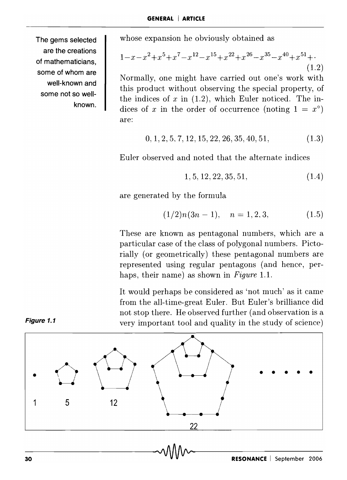The gems selected are the creations of mathematicians, some of whom are well-known and some not so wellknown. whose expansion he obviously obtained as

$$
1 - x - x2 + x5 + x7 - x12 - x15 + x22 + x26 - x35 - x40 + x51 + \cdots
$$
\n(1.2)

Normally, one might have carried out one's work with this product without observing the special property, of the indices of  $x$  in  $(1.2)$ , which Euler noticed. The indices of *x* in the order of occurrence (noting  $1 = x^{\circ}$ ) are:

$$
0, 1, 2, 5, 7, 12, 15, 22, 26, 35, 40, 51,
$$
\n
$$
(1.3)
$$

Euler observed and noted that the alternate indices

$$
1, 5, 12, 22, 35, 51, \t(1.4)
$$

are generated by the formula

$$
(1/2)n(3n-1), \quad n = 1, 2, 3,
$$
 (1.5)

These are known as pentagonal numbers, which are a particular case of the class of polygonal numbers. Pictorially (or geometrically) these pentagonal numbers are represented using regular pentagons (and hence, perhaps, their name) as shown in *Figure* 1.1.

It would perhaps be considered as 'not much' as it came from the all-time-great Euler. But Euler's brilliance did not stop there. He observed further (and observation is a very important tool and quality in the study of science)



**Figure** 1.1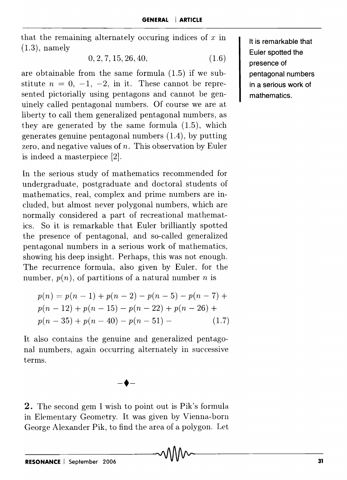that the remaining alternately occuring indices of *x* in (1.3), namely

$$
0, 2, 7, 15, 26, 40, \tag{1.6}
$$

are obtainable from the same formula (1.5) if we substitute  $n = 0, -1, -2$ , in it. These cannot be represented pictorially using pentagons and cannot be genuinely called pentagonal numbers. Of course we are at liberty to call them generalized pentagonal numbers, as they are generated by the same formula (1.5), which generates genuine pentagonal numbers (1.4), by putting zero, and negative values of *n.* This observation by Euler is indeed a masterpiece (2].

In the serious study of mathematics recommended for undergraduate, postgraduate and doctoral students of mathematics, real, complex and prime numbers are included, but almost never polygonal numbers, which are normally considered a part of recreational mathematics. So it is remarkable that Euler brilliantly spotted the presence of pentagonal, and so-called generalized pentagonal numbers in a serious work of mathematics, showing his deep insight. Perhaps, this was not enough. The recurrence formula, also given by Euler, for the number,  $p(n)$ , of partitions of a natural number *n* is

$$
p(n) = p(n-1) + p(n-2) - p(n-5) - p(n-7) +
$$
  
\n
$$
p(n-12) + p(n-15) - p(n-22) + p(n-26) +
$$
  
\n
$$
p(n-35) + p(n-40) - p(n-51) -
$$
\n(1.7)

It also contains the genuine and generalized pentagonal numbers, again occurring alternately in successive terms.

 $-\blacklozenge -$ 

2. The second gem I wish to point out is Pik's formula in Elementary Geometry. It was given by Vienna-born George Alexander Pik, to find the area of a polygon. Let

It is remarkable that Euler spotted the presence of pentagonal numbers in a serious work of mathematics.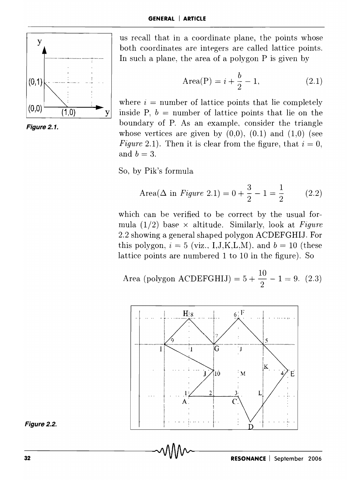



us recall that in a coordinate plane, the points whose both coordinates are integers are called lattice points. In such a plane, the area of a polygon P is given by

Area(P) = 
$$
i + \frac{b}{2} - 1
$$
, (2.1)

where  $i =$  number of lattice points that lie completely  $(0,0)$  (1,0) y inside P,  $b =$  number of lattice points that lie on the boundary of P. As an example, consider the triangle whose vertices are given by  $(0,0)$ ,  $(0,1)$  and  $(1,0)$  (see *Figure* 2.1). Then it is clear from the figure, that  $i = 0$ , and  $b = 3$ .

So, by Pik's formula

Area(
$$
\Delta
$$
 in Figure 2.1) =  $0 + \frac{3}{2} - 1 = \frac{1}{2}$  (2.2)

which can be verified to be correct by the usual formula  $(1/2)$  base  $\times$  altitude. Similarly, look at *Figure* 2.2 showing a general shaped polygon ACDEFGHIJ. For this polygon,  $i = 5$  (viz., I,J,K,L,M), and  $b = 10$  (these lattice points are numbered 1 to 10 in the figure). So

Area (polygon ACDEFGHIJ) =  $5 + \frac{10}{2} - 1 = 9$ . (2.3)



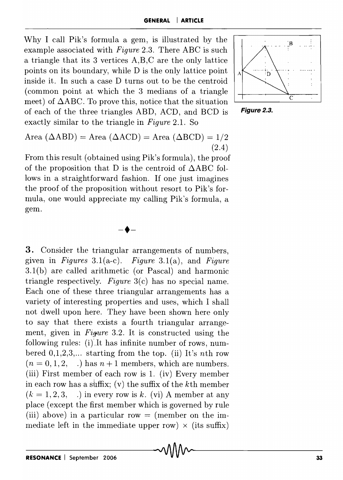Why I call Pik's formula a gem, is illustrated by the example associated with *Figure* 2.3. There ABC is such a triangle that its 3 vertices A,B,C are the only lattice points on its boundary, while D is the only lattice point inside it. In such a case D turns out to be the centroid (common point at which the 3 medians of a triangle meet) of  $\triangle$ ABC. To prove this, notice that the situation of each of the three triangles ABD, ACD, and BCD is Figure 2.3. exactly similar to the triangle in *Figure* 2.1. So



Area ( $\triangle ABD$ ) = Area ( $\triangle ACD$ ) = Area ( $\triangle BCD$ ) = 1/2 (2.4)

From this result (obtained using Pik's formula), the proof of the proposition that D is the centroid of  $\triangle$ ABC follows in a straightforward fashion. If one just imagines the proof of the proposition without resort to Pik's formula, one would appreciate my calling Pik's formula, a gem.

 $-\blacklozenge -$ 

3. Consider the triangular arrangements of numbers, given in *Figures* 3.1(a-c). *Figure* 3.1(a), and *Figure*  3.1 (b) are called arithmetic (or Pascal) and harmonic triangle respectively. *Figure* 3(c) has no special name. Each one of these three triangular arrangements has a variety of interesting properties and uses, which I shall not dwell upon here. They have been shown here only to say that there exists a fourth triangular arrangement, given in *Figure* 3.2. It is constructed using the following rules:  $(i)$ . It has infinite number of rows, numbered  $0,1,2,3,...$  starting from the top. (ii) It's nth row  $(n = 0, 1, 2, ...)$  has  $n + 1$  members, which are numbers. (iii) First member of each row is 1. (iv) Every member in each row has a suffix; (v) the suffix of the kth member  $(k = 1, 2, 3, ...)$  in every row is k. (vi) A member at any place (except the first member which is governed by rule (iii) above) in a particular row  $=$  (member on the immediate left in the immediate upper row) x (its suffix) --------~-~ ------- **RESONANCE** I September 2006 33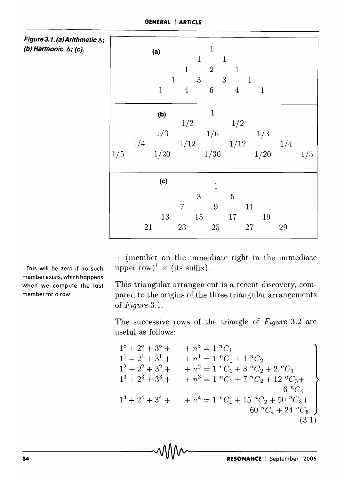| Figure 3.1. (a) Arithmetic $\Delta$ ; |  |
|---------------------------------------|--|
| (b) Harmonic ∆; (c).                  |  |

|     |    | (a)<br>$\mathbf{1}$ | $\,1$<br>$\mathbf{1}$<br>$\boldsymbol{4}$ | $\mathbf 1$<br>$\mathbf 1$<br>$\overline{\phantom{a}}^2$<br>$\overline{\mathbf{3}}$<br>$\overline{\phantom{a}}$<br>$\overline{6}$ | $\mathbf{1}$<br>$\mathbf{1}$<br>$\overline{4}$                                                              | $\mathbf{1}$<br>$\mathbf{1}$ |    |     |
|-----|----|---------------------|-------------------------------------------|-----------------------------------------------------------------------------------------------------------------------------------|-------------------------------------------------------------------------------------------------------------|------------------------------|----|-----|
| 1/5 |    | (b)<br>1/20         |                                           | $\mathbf{1}$<br>1/30                                                                                                              | $\begin{array}{cccc} & & 1/2 & & 1/2 \\ & & 1/3 & & 1/6 & & 1/3 \\ & & & 1/12 & & 1/12 & & 1/4 \end{array}$ | 1/20                         |    | 1/5 |
|     | 21 | (c)<br>13           | $\overline{7}$<br>23                      | $\mathbf{1}$<br>$\sqrt{3}$<br>$\overline{9}$<br>$15\,$<br>25                                                                      | $\overline{5}$<br>17                                                                                        | 11<br>19<br>27               | 29 |     |

+ (member on the immediate right in the immediate upper row)<sup>1</sup>  $\times$  (its suffix).

This triangular arrangement is a recent discovery, compared to the origins of the three triangular arrangements of *Figure 3.1.* 

The successive rows of the triangle of *Figure* 3.2 are useful as follows:

$$
1^{\circ} + 2^{\circ} + 3^{\circ} + \cdots + n^{\circ} = 1 \ {}^nC_1
$$
  
\n
$$
1^1 + 2^1 + 3^1 + \cdots + n^1 = 1 \ {}^nC_1 + 1 \ {}^nC_2
$$
  
\n
$$
1^2 + 2^2 + 3^2 + \cdots + n^2 = 1 \ {}^nC_1 + 3 \ {}^nC_2 + 2 \ {}^nC_3
$$
  
\n
$$
1^3 + 2^3 + 3^3 + \cdots + n^3 = 1 \ {}^nC_1 + 7 \ {}^nC_2 + 12 \ {}^nC_3 + \cdots + n^4 = 1 \ {}^nC_1 + 15 \ {}^nC_2 + 50 \ {}^nC_3 + \cdots + n^4 = 1 \ {}^nC_1 + 15 \ {}^nC_2 + 50 \ {}^nC_3 + \cdots + n^4 = 1 \ {}^nC_1 + 15 \ {}^nC_2 + 50 \ {}^nC_3 + \cdots + n^4 = 1 \ {}^nC_1 + 15 \ {}^nC_2 + 50 \ {}^nC_3 + \cdots + n^4 = 1 \ {}^nC_1 + 15 \ {}^nC_2 + 50 \ {}^nC_3 + \cdots + n^4 = 1 \ {}^nC_1 + 15 \ {}^nC_2 + 50 \ {}^nC_3 + \cdots + n^4 = 1 \ {}^nC_1 + 15 \ {}^nC_2 + 50 \ {}^nC_3 + \cdots + n^4 = 1 \ {}^nC_1 + 15 \ {}^nC_2 + 50 \ {}^nC_3 + \cdots + n^4 = 1 \ {}^nC_1 + 15 \ {}^nC_2 + 50 \ {}^nC_3 + \cdots + n^4 = 1 \ {}^nC_1 + 15 \ {}^nC_2 + 50 \ {}^nC_3 + \cdots + n^4 = 1 \ {}^nC_1 + 15 \ {}^nC_2 + 50 \ {}^nC_3 + \cdots + n^4 = 1 \ {}^nC_1 + 15 \ {}^nC_2 + 50 \ {}^nC_3 + \cdots + n^4 = 1 \ {}^nC_1 + 15 \ {}^nC_2 + 50 \ {}^nC_3 + \cdots + n^4 = 1 \ {}^nC_3 +
$$

This will be zero if no such member exists, which happens when we compute the last member for a row.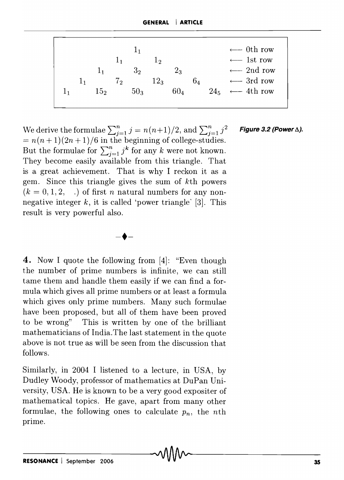|    |    |                 |                      | 1 <sub>1</sub> |                       |                 |                |          | $\leftarrow$ 0th row |
|----|----|-----------------|----------------------|----------------|-----------------------|-----------------|----------------|----------|----------------------|
|    |    |                 | $\perp$ <sub>1</sub> |                | $1\hspace{-4.5pt}1_2$ |                 |                |          | $\leftarrow$ 1st row |
|    |    | 1 <sub>1</sub>  |                      | $3_{2}$        |                       | $2_3$           |                |          | $\leftarrow$ 2nd row |
|    | 11 |                 | $7\overline{2}$      |                | $12_3$                |                 | 6 <sub>4</sub> |          | $\leftarrow$ 3rd row |
| 11 |    | 15 <sub>2</sub> |                      | $50_3$         |                       | 60 <sub>4</sub> |                | $24_{5}$ | $\leftarrow$ 4th row |
|    |    |                 |                      |                |                       |                 |                |          |                      |

We derive the formulae  $\sum_{i=1}^{n} j = n(n+1)/2$ , and  $\sum_{i=1}^{n} j^2$  **Figure 3.2 (Power**  $\Delta$ **).**  $= n(n+1)(2n+1)/6$  in the beginning of college-studies. But the formulae for  $\sum_{j=1}^{n} j^{k}$  for any *k* were not known. They become easily available from this triangle. That is a great achievement. That is why I reckon it as a gem. Since this triangle gives the sum of kth powers  $(k = 0, 1, 2, ...)$  of first *n* natural numbers for any nonnegative integer k, it is called 'power triangle' [3]. This result is very powerful also.



**4.** Now I quote the following from [4]: "Even though the number of prime numbers is infinite, we can still tame them and handle them easily if we can find a formula which gives all prime numbers or at least a formula which gives only prime numbers. Many such formulae have been proposed, but all of them have been proved to be wrong" This is written by one of the brilliant mathematicians of India. The last statement in the quote above is not true as will be seen from the discussion that follows.

Similarly, in 2004 I listened to a lecture, in USA, by Dudley Woody, professor of mathematics at DuPan University, USA. He is known to be a very good expositer of mathematical topics. He gave, apart from many other formulae, the following ones to calculate  $p_n$ , the *nth* prime.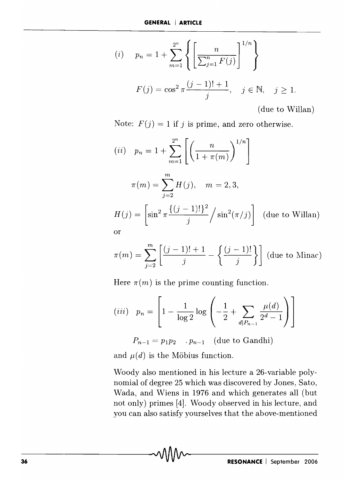$$
(i) \t p_n = 1 + \sum_{m=1}^{2^n} \left\{ \left[ \frac{n}{\sum_{j=1}^n F(j)} \right]^{1/n} \right\}
$$

$$
F(j) = \cos^2 \pi \frac{(j-1)! + 1}{j}, \quad j \in \mathbb{N}, \quad j \ge 1.
$$

(due to Willan)

Note:  $F(j) = 1$  if j is prime, and zero otherwise.

$$
(ii) \quad p_n = 1 + \sum_{m=1}^{2^n} \left[ \left( \frac{n}{1 + \pi(m)} \right)^{1/n} \right]
$$

$$
\pi(m) = \sum_{j=2}^m H(j), \quad m = 2, 3,
$$

$$
H(j) = \left[ \sin^2 \pi \frac{\{(j-1)!\}^2}{j} / \sin^2(\pi/j) \right] \text{ (due to Willan)}
$$
or

$$
\pi(m) = \sum_{j=2}^{m} \left[ \frac{(j-1)! + 1}{j} - \left\{ \frac{(j-1)!}{j} \right\} \right]
$$
 (due to Minac)

Here  $\pi(m)$  is the prime counting function.

$$
(iii) \quad p_n = \left[1 - \frac{1}{\log 2} \log \left( -\frac{1}{2} + \sum_{d \mid P_{n-1}} \frac{\mu(d)}{2^d - 1} \right) \right]
$$

 $P_{n-1} = p_1 p_2 \dots p_{n-1}$  (due to Gandhi)

and  $\mu(d)$  is the Möbius function.

Woody also mentioned in his lecture a 26-variable polynomial of degree 25 which was discovered by Jones, Sato, Wada, and Wiens in 1976 and which generates all (but not only) primes [4]. Woody observed in his lecture, and you can also satisfy yourselves that the above-mentioned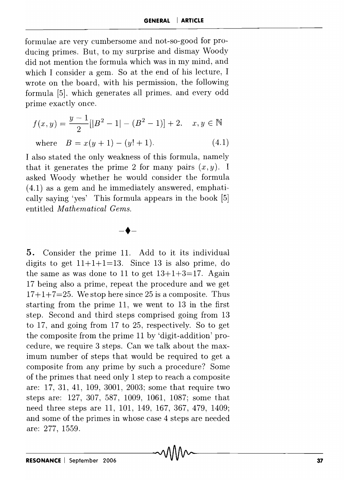forrnulae are very cumbersome and not-so-good for producing primes. But, to my surprise and dismay Woody did not mention the formula which was in my mind, and which I consider a gem. So at the end of his lecture, I wrote on the board, with his permission, the following formula [5], which generates all primes, and every odd prime exactly once.

$$
f(x,y) = \frac{y-1}{2} [|B^2 - 1| - (B^2 - 1)] + 2, \quad x, y \in \mathbb{N}
$$
  
where  $B = x(y+1) - (y! + 1).$  (4.1)

I also stated the only weakness of this formula, namely that it generates the prime 2 for many pairs  $(x, y)$ . I asked Woody whether he would consider the formula (4.1) as a gem and he immediately answered, emphatically saying 'yes' This formula appears in the book [5] entitled *Mathematical Gems.* 

 $-\blacklozenge$ 

5. Consider the prime 11. Add to it its individual digits to get  $11+1+1=13$ . Since 13 is also prime, do the same as was done to 11 to get  $13+1+3=17$ . Again 17 being also a prime, repeat the procedure and we get  $17+1+7=25$ . We stop here since 25 is a composite. Thus starting from the prime 11, we went to 13 in the first step. Second and third steps comprised going from 13 to  $17$ , and going from  $17$  to  $25$ , respectively. So to get the composite from the prime 11 by 'digit-addition' procedure, we require 3 steps. Can we talk about the maximum number of steps that would be required to get a composite from any prime by such a procedure? Some of the primes that need only 1 step to reach a composite are: 17, 31, 41, 109, 3001, 2003; some that require two steps are: 127, 307, 587, 1009, 1061, 1087; some that need three steps are 11, 101, 149, 167, 367, 479, 1409; and some of the primes in whose case 4 steps are needed are: 277, 1559.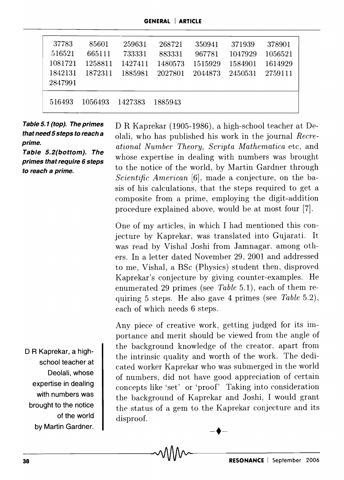| 37783<br>516521<br>1081721<br>1842131<br>2847991 | 85601<br>665111<br>1258811<br>1872311 | 259631<br>733331<br>1427411<br>1885981 | 268721<br>883331<br>1480573<br>2027801 | 350941<br>967781<br>1515929<br>2044873 | 371939<br>1047929<br>1584901<br>2450531 | 378901<br>1056521<br>1614929<br>2759111 |
|--------------------------------------------------|---------------------------------------|----------------------------------------|----------------------------------------|----------------------------------------|-----------------------------------------|-----------------------------------------|
| 516493                                           | 1056493                               | 1427383                                | 1885943                                |                                        |                                         |                                         |

**Table 5. 1 (top). The primes that need 5 steps to reach a prime.** 

**Table 5.2(bottom). The primes that require 6 steps to reach a prime.** 

D R Kaprekar (1905-1986), a high-school teacher at *De*olali, who has published his work in the journal *Recreational Number Theory, Scripta Mathematica* etc, and whose expertise in dealing with numbers was brought to the notice of the world, by Martin Gardner through *Scientific American* [6], made a conjecture, on the basis of his calculations, that the steps required to get a composite from a prime, employing the digit-addition procedure explained above, would be at most four [7].

One of my articles, in which I had mentioned this conjecture by Kaprekar, was translated into Gujarati. It was read by Vishal Joshi from Jamnagar. among others. **In** a letter dated November 29, 2001 and addressed to me, Vishal, a BSc (Physics) student then, disproved Kaprekar's conjecture by giving counter-examples. He enumerated 29 primes (see *Table* 5.1), each of them requiring 5 steps. He also gave 4 primes (see *Table* 5.2), each of which needs 6 steps.

Any piece of creative work, getting judged for its importance and merit should be viewed from the angle of the background knowledge of the creator, apart from the intrinsic quality and worth of the work. The dedicated worker Kaprekar who was submerged in the world of numbers, did not have good appreciation of certain concepts like 'set' or 'proof' Taking into consideration the background of Kaprekar and Joshi, I would grant the status of a gem to the Kaprekar conjecture and its disproof.

 $-\blacklozenge$ 

D **R Kaprekar, a highschool teacher at Deolali, whose expertise in dealing with numbers was brought to the notice of the world by Martin Gardner.**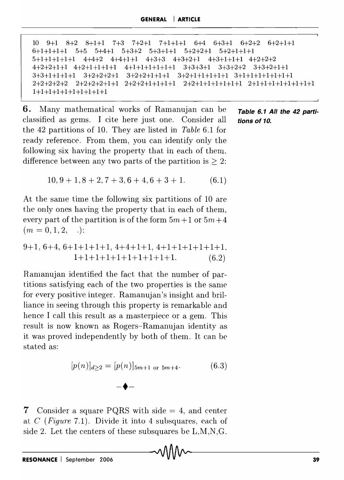10 9+1 8+2 8+1+1 7+3 7+2+1 7+1+1+1 6+4 6+3+1 6+2+2 6+2+1+1 6+1+1+1+1 5+5 5+4+1 5+3+2 5+3+1+1 5+2+2+1 5+2+1+1+1 5+1+1+1+1+1 4+4+2 4+4+1+1 4+3+3 4+3+2+1 4+3+1+1+1 4+2+2+2 4+2+2+1+1 4+2+1+1+1+1 4+1+1+1+1+1+1 3+3+3+1 3+3+2+2 3+3+2+1+1  $3+3+1+1+1+1$   $3+2+2+2+1$   $3+2+2+1+1+1+1$   $3+2+1+1+1+1+1$   $3+1+1+1+1+1+1$  $2+2+2+2+2$   $2+2+2+2+1+1$   $2+2+2+1+1+1+1$   $2+2+1+1+1+1+1+1$   $2+1+1+1+1+1+1+1+1$ 1+1+1+1+1+1+1+1+1+1

6. Many mathematical works of Ramanujan can be **Table 6.1 All the 42 parti**classified as gems. I cite here just one. Consider all **tions of 10.**  the 42 partitions of 10. They are listed in *Table* 6.1 for ready reference. From them, you can identify only the following six having the property that in each of them, difference between any two parts of the partition is  $\geq 2$ :

$$
10, 9+1, 8+2, 7+3, 6+4, 6+3+1. \tag{6.1}
$$

At the same time the following six partitions of 10 are the only ones having the property that in each of them, every part of the partition is of the form  $5m+1$  or  $5m+4$  $(m=0,1,2, ...)$ 

$$
9+1, 6+4, 6+1+1+1+1, 4+4+1+1, 4+1+1+1+1+1+1,
$$
  

$$
1+1+1+1+1+1+1+1+1+1.
$$
  
(6.2)

Ramanujan identified the fact that the number of partitions satisfying each of the two properties is the same for every positive integer. Ramanujan's insight and brilliance in seeing through this property is remarkable and hence I call this result as a masterpiece or a gem. This result is now known as Rogers-Ramanujan identity as it was proved independently by both of them. It can be stated as:

$$
[p(n)]_{d\geq 2} = [p(n)]_{5m+1 \text{ or } 5m+4}.
$$
 (6.3)

7 Consider a square PQRS with side  $= 4$ , and center at C *(Figure* 7.1). Divide it into 4 subsquares, each of side 2. Let the centers of these subsquares be L,M,N,G.

 $-\blacklozenge$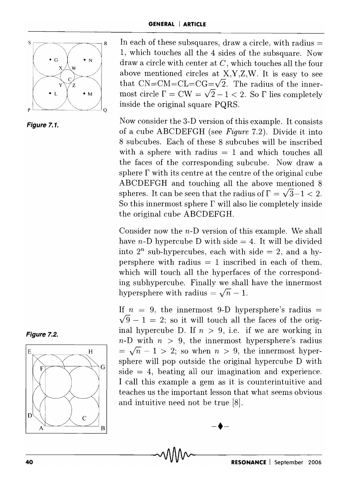

**Figure 7.1.** 

 $s \rightarrow s$  R In each of these subsquares, draw a circle, with radius = 1, which touches all the 4 sides of the subsquare. Now draw a circle with center at C, which touches all the four above mentioned circles at X,Y,Z,W. It is easy to see that  $CN=CM=CL=CG=\sqrt{2}$ . The radius of the innermost circle  $\Gamma = CW = \sqrt{2} - 1 < 2$ . So  $\Gamma$  lies completely inside the original square PQRS.

> Now consider the 3-D version of this example. It consists of a cube ABCDEFGH (see *Figure* 7.2). Divide it into 8 subcubes. Each of these 8 sub cubes will be inscribed with a sphere with radius  $= 1$  and which touches all the faces of the corresponding subcube. Now draw a sphere  $\Gamma$  with its centre at the centre of the original cube ABCDEFGH and touching all the above mentioned 8 spheres. It can be seen that the radius of  $\Gamma = \sqrt{3}-1 < 2$ . So this innermost sphere  $\Gamma$  will also lie completely inside the original cube ABCDEFGH.

> Consider now the n-D version of this example. We shall have *n*-D hypercube D with side  $= 4$ . It will be divided into  $2^n$  sub-hypercubes, each with side  $= 2$ , and a hypersphere with radius  $= 1$  inscribed in each of them, which will touch all the hyperfaces of the corresponding subhypercube. Finally we shall have the innermost hypersphere with radius  $=\sqrt{n} - 1$ .

> If  $n = 9$ , the innermost 9-D hypersphere's radius  $=$  $\sqrt{9} - 1 = 2$ ; so it will touch all the faces of the original hypercube D. If  $n > 9$ , i.e. if we are working in  $n-D$  with  $n > 9$ , the innermost hypersphere's radius  $=\sqrt{n}-1$  > 2; so when  $n > 9$ , the innermost hypersphere will pop outside the original hypercube D with  $side = 4$ , beating all our imagination and experience. I call this example a gem as it is counterintuitive and teaches us the important lesson that what seems obvious and intuitive need not be true [8].

> > $-\blacklozenge -$



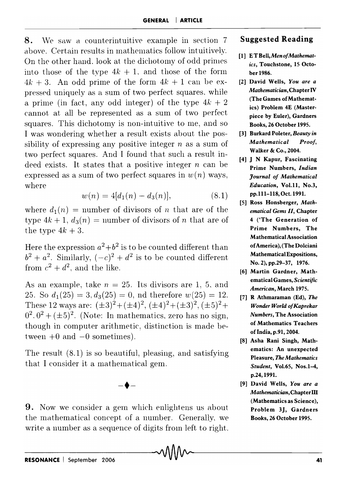**8.** We saw a counterintuitive example in section 7 above. Certain results in mathematics follow intuitively. On the other hand, look at the dichotomy of odd primes into those of the type  $4k + 1$ , and those of the form  $4k + 3$ . An odd prime of the form  $4k + 1$  can be expressed uniquely as a sum of two perfect squares. while a prime (in fact, any odd integer) of the type  $4k + 2$ cannot at all be represented as a sum of two perfect squares. This dichotomy is non-intuitive to me, and so I was wondering whether a result exists about the possibility of expressing any positive integer *n* as a sum of two perfect squares. And I found that such a result indeed exists. It states that a positive integer  $n$  can be expressed as a sum of two perfect squares in  $w(n)$  ways, where

$$
w(n) = 4[d_1(n) - d_3(n)], \qquad (8.1)
$$

where  $d_1(n)$  = number of divisors of n that are of the type  $4k + 1$ ,  $d_3(n) =$  number of divisors of n that are of the type  $4k+3$ .

Here the expression  $a^2+b^2$  is to be counted different than  $b^2 + a^2$ . Similarly,  $(-c)^2 + d^2$  is to be counted different from  $c^2 + d^2$ , and the like.

As an example, take  $n = 25$ . Its divisors are 1, 5, and 25. So  $d_1(25) = 3, d_3(25) = 0$ , nd therefore  $w(25) = 12$ . These 12 ways are:  $(\pm 3)^2 + (\pm 4)^2$ ,  $(\pm 4)^2 + (\pm 3)^2$ ,  $(\pm 5)^2 +$  $0^2$ ,  $0^2$  + ( $\pm$ 5)<sup>2</sup>. (Note: In mathematics, zero has no sign, though in computer arithmetic, distinction is made between  $+0$  and  $-0$  sometimes).

The result (8.1) is so beautiful, pleasing, and satisfying that I consider it a mathematical gem.

 $-\blacklozenge -$ 

**9.** Now we consider a gem which enlightens us about the mathematical concept of a number. Generally, we write a number as a sequence of digits from left to right.

## **Suggested Reading**

- [1] E *TBell,MenofMathematics,* Touchstone, IS October 1986.
- [2] David Wells, *You are a Mathematician,* Chapter IV (The Games of Mathematics) Problem 4E (Masterpiece by Euler), Gardners Books, 26 October 1995.
- [3] Burkard Poleter, *Beauty in Mathematical Proof,*  Walker & Co., 2004.
- [4] J N Kapur, Fascinating Prime Numbers, *Indian Journal of Mathematical Education,* Vol.11, No.3, pp. 1 11-118, Oct. 1991.
- [5] Ross Honsberger, *Mathematical Gems II,* Chapter 4 ('The Generation of Prime Numbers, The Mathematical Association of America), (The Dolciani Mathematical Expositions, No.2), pp.29-37, 1976.
- [6] Martin Gardner, Mathematical Games, *Scientific American,* March 1975.
- [7] R Athmaraman (Ed), *The Wonder World ofKaprekar Numbers,* The Association of Mathematics Teachers of India, p.91, 2004.
- [8] Asha Rani Singh, Mathematics: An unexpected Pleasure, *The Mathematics Student, Vol.65, Nos.1-4,* p.24,1991.
- [9] David Wells, *You are a Mathematician,* Chapter **III**  (Mathematics as Science), Problem 3J, Gardners Books, 26 October 1995.